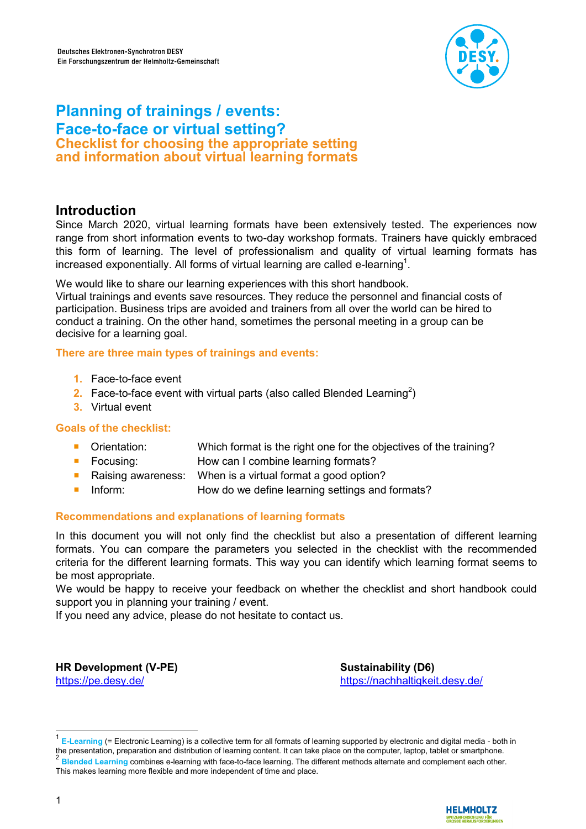

# **Planning of trainings / events: Face-to-face or virtual setting? Checklist for choosing the appropriate setting and information about virtual learning formats**

# **Introduction**

Since March 2020, virtual learning formats have been extensively tested. The experiences now range from short information events to two-day workshop formats. Trainers have quickly embraced this form of learning. The level of professionalism and quality of virtual learning formats has increased exponentially. All forms of virtual learning are called e-learning $^1$ .

We would like to share our learning experiences with this short handbook.

Virtual trainings and events save resources. They reduce the personnel and financial costs of participation. Business trips are avoided and trainers from all over the world can be hired to conduct a training. On the other hand, sometimes the personal meeting in a group can be decisive for a learning goal.

#### **There are three main types of trainings and events:**

- **1.** Face-to-face event
- 2. Face-to-face event with virtual parts (also called Blended Learning<sup>2</sup>)
- **3.** Virtual event

## **Goals of the checklist:**

- Orientation: Which format is the right one for the objectives of the training?
- Focusing: How can I combine learning formats?
- Raising awareness: When is a virtual format a good option?
- Inform: How do we define learning settings and formats?

## **Recommendations and explanations of learning formats**

In this document you will not only find the checklist but also a presentation of different learning formats. You can compare the parameters you selected in the checklist with the recommended criteria for the different learning formats. This way you can identify which learning format seems to be most appropriate.

We would be happy to receive your feedback on whether the checklist and short handbook could support you in planning your training / event.

If you need any advice, please do not hesitate to contact us.

**HR Development (V-PE)** <https://pe.desy.de/>

**Sustainability (D6)** <https://nachhaltigkeit.desy.de/>

 1 **E-Learning** (= Electronic Learning) is a collective term for all formats of learning supported by electronic and digital media - both in the presentation, preparation and distribution of learning content. It can take place on the computer, laptop, tablet or smartphone.<br><sup>2</sup> Placebel Learning contribution of sominary the face to face to smite a The different **Blended Learning** combines e-learning with face-to-face learning. The different methods alternate and complement each other. This makes learning more flexible and more independent of time and place.

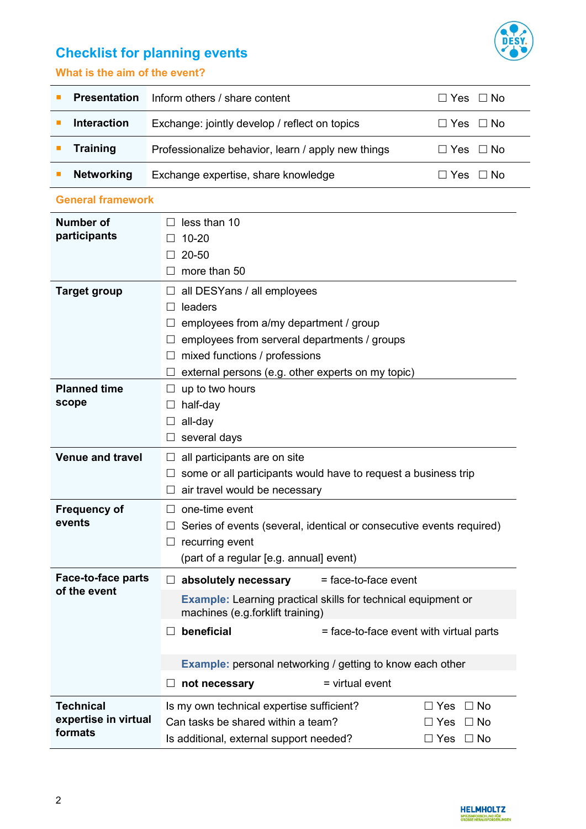

# **Checklist for planning events**

# **What is the aim of the event?**

| <b>Presentation</b> | Inform others / share content                      | ⊟ Yes ⊟ No           |
|---------------------|----------------------------------------------------|----------------------|
| <b>Interaction</b>  | Exchange: jointly develop / reflect on topics      | $\Box$ Yes $\Box$ No |
| <b>Training</b>     | Professionalize behavior, learn / apply new things | ΠYes ΠNo             |
| <b>Networking</b>   | Exchange expertise, share knowledge                | '∃Yes □ No           |

#### **General framework**

| Number of                                | less than 10                                                                                             |  |  |
|------------------------------------------|----------------------------------------------------------------------------------------------------------|--|--|
| participants                             | $10 - 20$                                                                                                |  |  |
|                                          | 20-50                                                                                                    |  |  |
|                                          | more than 50                                                                                             |  |  |
| <b>Target group</b>                      | all DESYans / all employees                                                                              |  |  |
|                                          | leaders                                                                                                  |  |  |
|                                          | employees from a/my department / group                                                                   |  |  |
|                                          | employees from serveral departments / groups                                                             |  |  |
|                                          | mixed functions / professions                                                                            |  |  |
|                                          | external persons (e.g. other experts on my topic)                                                        |  |  |
| <b>Planned time</b>                      | up to two hours                                                                                          |  |  |
| scope                                    | half-day                                                                                                 |  |  |
|                                          | all-day                                                                                                  |  |  |
|                                          | several days                                                                                             |  |  |
| <b>Venue and travel</b>                  | all participants are on site                                                                             |  |  |
|                                          | some or all participants would have to request a business trip                                           |  |  |
|                                          | air travel would be necessary                                                                            |  |  |
| <b>Frequency of</b>                      | one-time event                                                                                           |  |  |
| events                                   | Series of events (several, identical or consecutive events required)                                     |  |  |
|                                          | recurring event                                                                                          |  |  |
|                                          | (part of a regular [e.g. annual] event)                                                                  |  |  |
| Face-to-face parts                       | absolutely necessary<br>= face-to-face event                                                             |  |  |
| of the event                             | <b>Example:</b> Learning practical skills for technical equipment or<br>machines (e.g.forklift training) |  |  |
|                                          | beneficial<br>= face-to-face event with virtual parts                                                    |  |  |
|                                          | <b>Example:</b> personal networking / getting to know each other                                         |  |  |
|                                          | $=$ virtual event<br>not necessary                                                                       |  |  |
|                                          |                                                                                                          |  |  |
| <b>Technical</b><br>expertise in virtual | Is my own technical expertise sufficient?<br>$\Box$ No<br>$\Box$ Yes                                     |  |  |
| formats                                  | Can tasks be shared within a team?<br>$\Box$ No<br>$\Box$ Yes                                            |  |  |
|                                          | Is additional, external support needed?<br>$\Box$ No<br>$\Box$ Yes                                       |  |  |

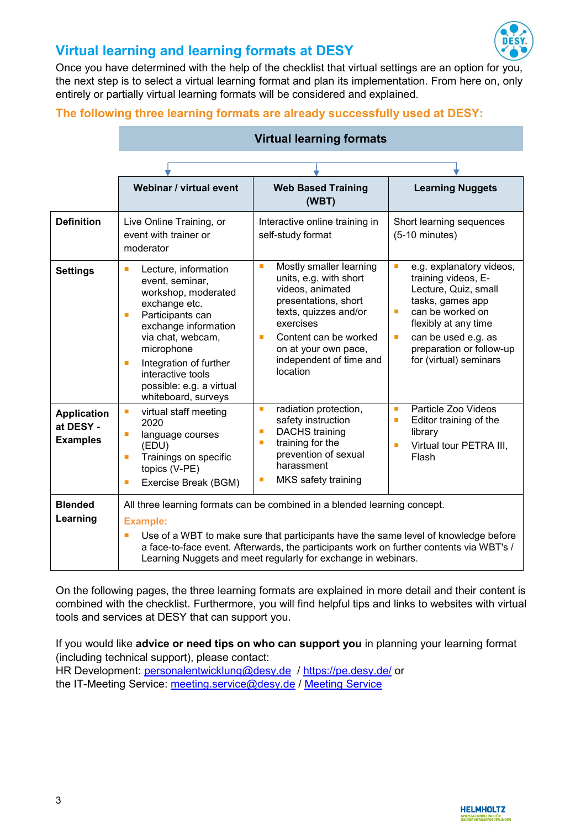

# **Virtual learning and learning formats at DESY**

Once you have determined with the help of the checklist that virtual settings are an option for you, the next step is to select a virtual learning format and plan its implementation. From here on, only entirely or partially virtual learning formats will be considered and explained.

## **The following three learning formats are already successfully used at DESY:**

|                                                    | Webinar / virtual event                                                                                                                                                                                                                                                                       | <b>Web Based Training</b><br>(WBT)                                                                                                                                                                                                    | <b>Learning Nuggets</b>                                                                                                                                                                                                                          |
|----------------------------------------------------|-----------------------------------------------------------------------------------------------------------------------------------------------------------------------------------------------------------------------------------------------------------------------------------------------|---------------------------------------------------------------------------------------------------------------------------------------------------------------------------------------------------------------------------------------|--------------------------------------------------------------------------------------------------------------------------------------------------------------------------------------------------------------------------------------------------|
| <b>Definition</b>                                  | Live Online Training, or<br>event with trainer or<br>moderator                                                                                                                                                                                                                                | Interactive online training in<br>self-study format                                                                                                                                                                                   | Short learning sequences<br>$(5-10 \text{ minutes})$                                                                                                                                                                                             |
| <b>Settings</b>                                    | Lecture, information<br>$\blacksquare$<br>event, seminar,<br>workshop, moderated<br>exchange etc.<br>Participants can<br>п<br>exchange information<br>via chat, webcam,<br>microphone<br>Integration of further<br>T.<br>interactive tools<br>possible: e.g. a virtual<br>whiteboard, surveys | Mostly smaller learning<br>п<br>units, e.g. with short<br>videos, animated<br>presentations, short<br>texts, quizzes and/or<br>exercises<br>Content can be worked<br>п<br>on at your own pace,<br>independent of time and<br>location | e.g. explanatory videos,<br>$\blacksquare$<br>training videos, E-<br>Lecture, Quiz, small<br>tasks, games app<br>can be worked on<br>п<br>flexibly at any time<br>can be used e.g. as<br>п<br>preparation or follow-up<br>for (virtual) seminars |
| <b>Application</b><br>at DESY -<br><b>Examples</b> | virtual staff meeting<br>п<br>2020<br>language courses<br>п<br>(EDU)<br>Trainings on specific<br>$\blacksquare$<br>topics (V-PE)<br>Exercise Break (BGM)<br>ш                                                                                                                                 | radiation protection,<br>п<br>safety instruction<br><b>DACHS</b> training<br>Г<br>training for the<br>п<br>prevention of sexual<br>harassment<br>MKS safety training<br>Е                                                             | Particle Zoo Videos<br>п<br>Editor training of the<br>п<br>library<br>Virtual tour PETRA III,<br>п<br>Flash                                                                                                                                      |
| <b>Blended</b><br>Learning                         | <b>Example:</b>                                                                                                                                                                                                                                                                               | All three learning formats can be combined in a blended learning concept.                                                                                                                                                             |                                                                                                                                                                                                                                                  |
|                                                    | Use of a WBT to make sure that participants have the same level of knowledge before<br>L.<br>a face-to-face event. Afterwards, the participants work on further contents via WBT's /<br>Learning Nuggets and meet regularly for exchange in webinars.                                         |                                                                                                                                                                                                                                       |                                                                                                                                                                                                                                                  |

## **Virtual learning formats**

On the following pages, the three learning formats are explained in more detail and their content is combined with the checklist. Furthermore, you will find helpful tips and links to websites with virtual tools and services at DESY that can support you.

If you would like **advice or need tips on who can support you** in planning your learning format (including technical support), please contact: HR Development: [personalentwicklung@desy.de](mailto:personalentwicklung@desy.de) /<https://pe.desy.de/> or the IT-Meeting Service: [meeting.service@desy.de](mailto:meeting.service@desy.de) / [Meeting Service](https://it.desy.de/dienste/meeting_service/webkonferenzen/index_ger.html)

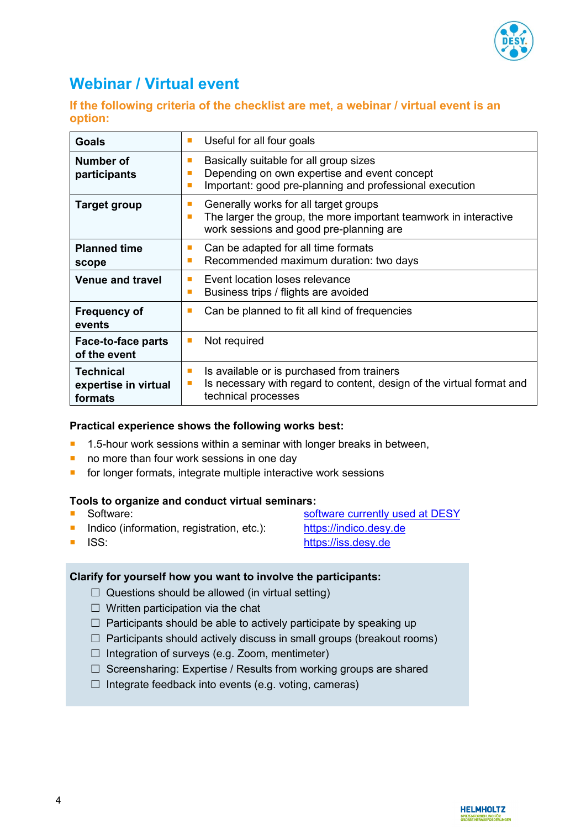

# **Webinar / Virtual event**

**If the following criteria of the checklist are met, a webinar / virtual event is an option:**

| <b>Goals</b>                                        | Useful for all four goals                                                                                                                                        |
|-----------------------------------------------------|------------------------------------------------------------------------------------------------------------------------------------------------------------------|
| Number of<br>participants                           | Basically suitable for all group sizes<br>Depending on own expertise and event concept<br>Important: good pre-planning and professional execution<br>п           |
| <b>Target group</b>                                 | Generally works for all target groups<br><b>C</b><br>The larger the group, the more important teamwork in interactive<br>work sessions and good pre-planning are |
| <b>Planned time</b><br>scope                        | Can be adapted for all time formats<br>Recommended maximum duration: two days                                                                                    |
| <b>Venue and travel</b>                             | Event location loses relevance<br>٠<br>Business trips / flights are avoided<br>п                                                                                 |
| <b>Frequency of</b><br>events                       | Can be planned to fit all kind of frequencies<br>п                                                                                                               |
| Face-to-face parts<br>of the event                  | Not required<br>п                                                                                                                                                |
| <b>Technical</b><br>expertise in virtual<br>formats | Is available or is purchased from trainers<br>п<br>Is necessary with regard to content, design of the virtual format and<br>technical processes                  |

#### **Practical experience shows the following works best:**

- 1.5-hour work sessions within a seminar with longer breaks in between,
- no more than four work sessions in one day
- **for longer formats, integrate multiple interactive work sessions**

#### **Tools to organize and conduct virtual seminars:**

- 
- Indico (information, registration, etc.): [https://indico.desy.de](https://indico.desy.de/)
- **Software:** Software: [software currently used](https://it.desy.de/dienste/meeting_service/webkonferenzen/index_ger.html) at DESY
- 
- ISS: [https://iss.desy.de](https://iss.desy.de/)
- 

## **Clarify for yourself how you want to involve the participants:**

- $\Box$  Questions should be allowed (in virtual setting)
- $\Box$  Written participation via the chat
- $\Box$  Participants should be able to actively participate by speaking up
- $\Box$  Participants should actively discuss in small groups (breakout rooms)
- $\Box$  Integration of surveys (e.g. Zoom, mentimeter)
- $\Box$  Screensharing: Expertise / Results from working groups are shared
- $\Box$  Integrate feedback into events (e.g. voting, cameras)

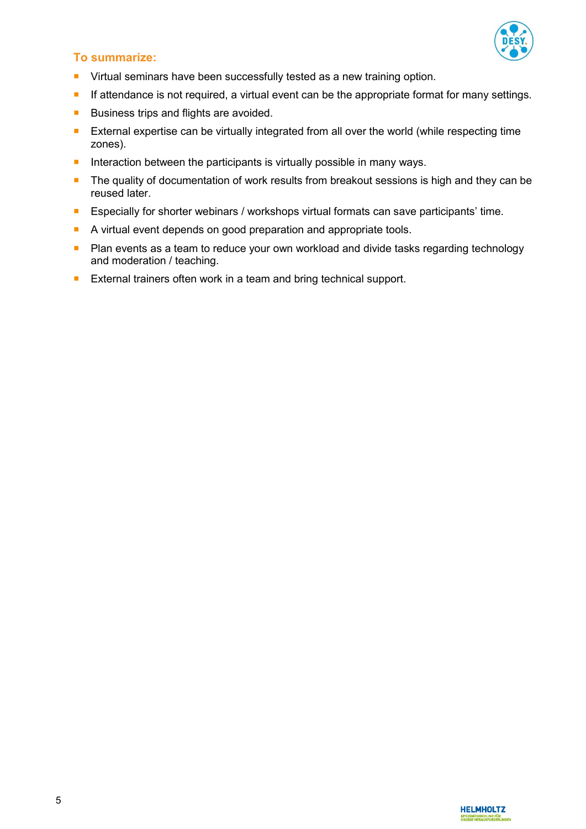

# **To summarize:**

- **Uirtual seminars have been successfully tested as a new training option.**
- **If attendance is not required, a virtual event can be the appropriate format for many settings.**
- Business trips and flights are avoided.
- **EXTER 2** External expertise can be virtually integrated from all over the world (while respecting time zones).
- Interaction between the participants is virtually possible in many ways.
- The quality of documentation of work results from breakout sessions is high and they can be reused later.
- **Especially for shorter webinars / workshops virtual formats can save participants' time.**
- A virtual event depends on good preparation and appropriate tools.
- **P** Plan events as a team to reduce your own workload and divide tasks regarding technology and moderation / teaching.
- **External trainers often work in a team and bring technical support.**

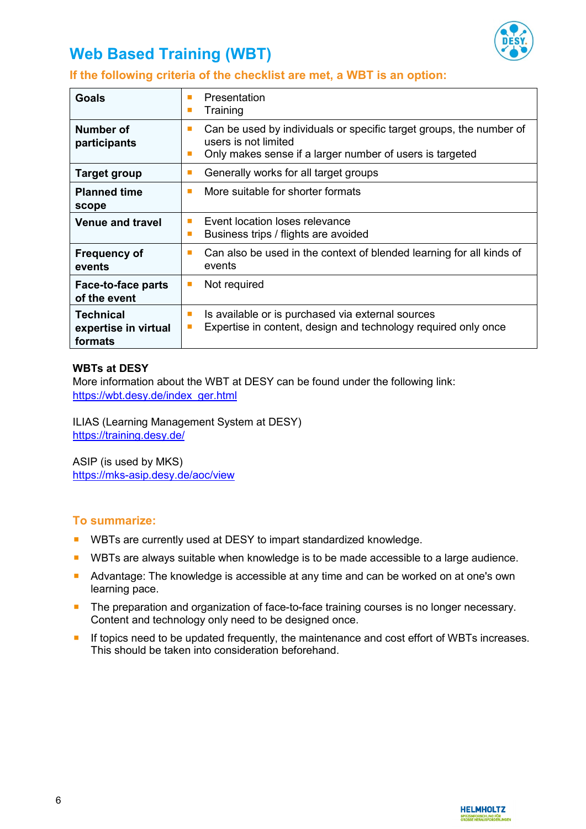

# **Web Based Training (WBT)**

# **If the following criteria of the checklist are met, a WBT is an option:**

| <b>Goals</b>                                        | Presentation<br>Training<br>п                                                                                                                                     |
|-----------------------------------------------------|-------------------------------------------------------------------------------------------------------------------------------------------------------------------|
| Number of<br>participants                           | Can be used by individuals or specific target groups, the number of<br>п<br>users is not limited<br>Only makes sense if a larger number of users is targeted<br>ш |
| <b>Target group</b>                                 | Generally works for all target groups                                                                                                                             |
| <b>Planned time</b><br>scope                        | More suitable for shorter formats<br>п                                                                                                                            |
| <b>Venue and travel</b>                             | Event location loses relevance<br>٠<br>Business trips / flights are avoided<br>п                                                                                  |
| <b>Frequency of</b><br>events                       | Can also be used in the context of blended learning for all kinds of<br>п<br>events                                                                               |
| Face-to-face parts<br>of the event                  | Not required<br><b>COL</b>                                                                                                                                        |
| <b>Technical</b><br>expertise in virtual<br>formats | Is available or is purchased via external sources<br>п<br>Expertise in content, design and technology required only once                                          |

#### **WBTs at DESY**

More information about the WBT at DESY can be found under the following link: [https://wbt.desy.de/index\\_ger.html](https://wbt.desy.de/index_ger.html)

ILIAS (Learning Management System at DESY) <https://training.desy.de/>

ASIP (is used by MKS) <https://mks-asip.desy.de/aoc/view>

## **To summarize:**

- WBTs are currently used at DESY to impart standardized knowledge.
- **URTs are always suitable when knowledge is to be made accessible to a large audience.**
- Advantage: The knowledge is accessible at any time and can be worked on at one's own learning pace.
- **The preparation and organization of face-to-face training courses is no longer necessary.** Content and technology only need to be designed once.
- If topics need to be updated frequently, the maintenance and cost effort of WBTs increases. This should be taken into consideration beforehand.